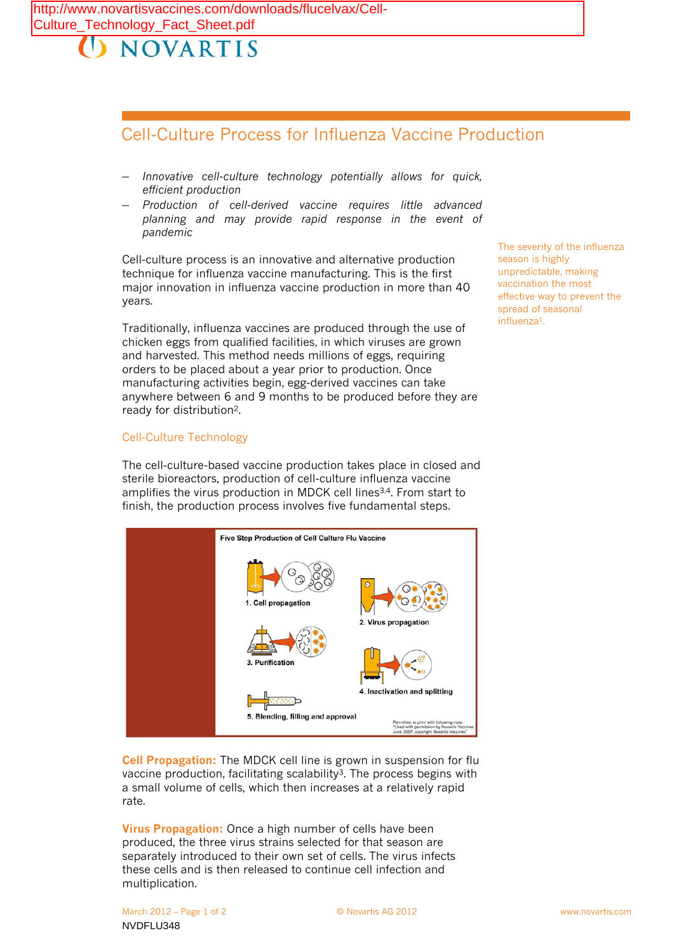## **NOVARTIS**

## Cell-Culture Process for Influenza Vaccine Production

- *Innovative cell-culture technology potentially allows for quick, efficient production*
- *Production of cell-derived vaccine requires little advanced planning and may provide rapid response in the event of pandemic*

Cell-culture process is an innovative and alternative production technique for influenza vaccine manufacturing. This is the first major innovation in influenza vaccine production in more than 40 years.

Traditionally, influenza vaccines are produced through the use of chicken eggs from qualified facilities, in which viruses are grown and harvested. This method needs millions of eggs, requiring orders to be placed about a year prior to production. Once manufacturing activities begin, egg-derived vaccines can take anywhere between 6 and 9 months to be produced before they are ready for distribution2.

## Cell-Culture Technology

The cell-culture-based vaccine production takes place in closed and sterile bioreactors, production of cell-culture influenza vaccine amplifies the virus production in MDCK cell lines<sup>3,4</sup>. From start to finish, the production process involves five fundamental steps.



**Cell Propagation:** The MDCK cell line is grown in suspension for flu vaccine production, facilitating scalability<sup>3</sup>. The process begins with a small volume of cells, which then increases at a relatively rapid rate.

**Virus Propagation:** Once a high number of cells have been produced, the three virus strains selected for that season are separately introduced to their own set of cells. The virus infects these cells and is then released to continue cell infection and multiplication.

The severity of the influenza season is highly unpredictable, making vaccination the most effective way to prevent the spread of seasonal influenza1.